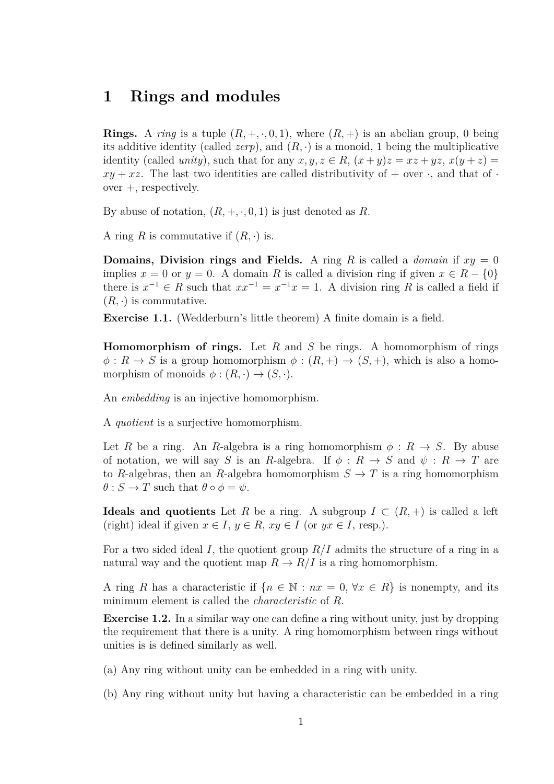## **1 Rings and modules**

**Rings.** A *ring* is a tuple  $(R, +, \cdot, 0, 1)$ , where  $(R, +)$  is an abelian group, 0 being its additive identity (called *zerp*), and  $(R, \cdot)$  is a monoid, 1 being the multiplicative identity (called *unity*), such that for any  $x, y, z \in R$ ,  $(x + y)z = xz + yz$ ,  $x(y + z) =$  $xy + xz$ . The last two identities are called distributivity of  $+$  over  $\cdot$ , and that of  $\cdot$ over +, respectively.

By abuse of notation,  $(R, +, \cdot, 0, 1)$  is just denoted as R.

A ring *R* is commutative if  $(R, \cdot)$  is.

**Domains, Division rings and Fields.** A ring *R* is called a *domain* if  $xy = 0$ implies  $x = 0$  or  $y = 0$ . A domain R is called a division ring if given  $x \in R - \{0\}$ there is  $x^{-1} \in R$  such that  $xx^{-1} = x^{-1}x = 1$ . A division ring R is called a field if  $(R, \cdot)$  is commutative.

**Exercise 1.1.** (Wedderburn's little theorem) A finite domain is a field.

**Homomorphism of rings.** Let *R* and *S* be rings. A homomorphism of rings  $\phi: R \to S$  is a group homomorphism  $\phi: (R, +) \to (S, +)$ , which is also a homomorphism of monoids  $\phi: (R, \cdot) \to (S, \cdot).$ 

An *embedding* is an injective homomorphism.

A *quotient* is a surjective homomorphism.

Let *R* be a ring. An *R*-algebra is a ring homomorphism  $\phi : R \to S$ . By abuse of notation, we will say *S* is an *R*-algebra. If  $\phi: R \to S$  and  $\psi: R \to T$  are to *R*-algebras, then an *R*-algebra homomorphism  $S \to T$  is a ring homomorphism  $\theta$  : *S*  $\rightarrow$  *T* such that  $\theta \circ \phi = \psi$ .

**Ideals and quotients** Let *R* be a ring. A subgroup  $I \subset (R, +)$  is called a left (right) ideal if given  $x \in I$ ,  $y \in R$ ,  $xy \in I$  (or  $yx \in I$ , resp.).

For a two sided ideal *I*, the quotient group *R/I* admits the structure of a ring in a natural way and the quotient map  $R \to R/I$  is a ring homomorphism.

A ring *R* has a characteristic if  $\{n \in \mathbb{N} : nx = 0, \forall x \in R\}$  is nonempty, and its minimum element is called the *characteristic* of *R*.

**Exercise 1.2.** In a similar way one can define a ring without unity, just by dropping the requirement that there is a unity. A ring homomorphism between rings without unities is is defined similarly as well.

- (a) Any ring without unity can be embedded in a ring with unity.
- (b) Any ring without unity but having a characteristic can be embedded in a ring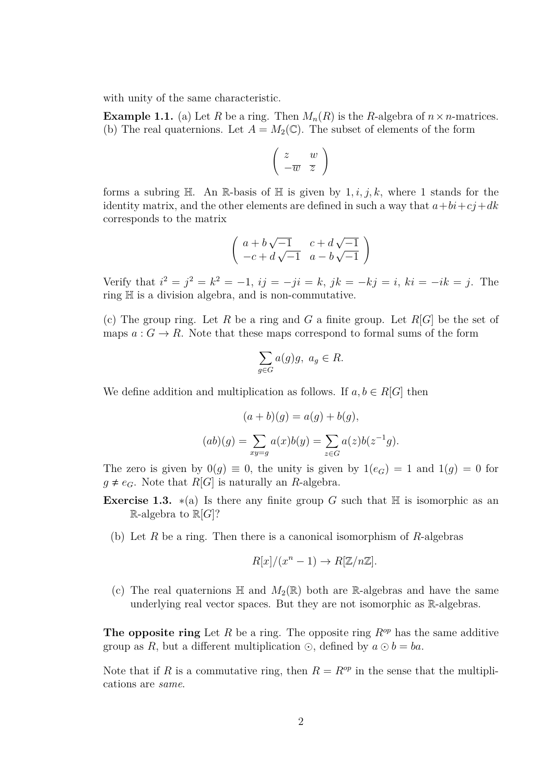with unity of the same characteristic.

**Example 1.1.** (a) Let *R* be a ring. Then  $M_n(R)$  is the *R*-algebra of  $n \times n$ -matrices. (b) The real quaternions. Let  $A = M_2(\mathbb{C})$ . The subset of elements of the form

$$
\left(\begin{array}{cc}z & w\\-\overline{w} & \overline{z}\end{array}\right)
$$

forms a subring  $H$ . An R-basis of  $H$  is given by  $1, i, j, k$ , where 1 stands for the identity matrix, and the other elements are defined in such a way that  $a + bi + cj + dk$ corresponds to the matrix

$$
\left(\begin{array}{cc} a+b\sqrt{-1} & c+d\sqrt{-1} \\ -c+d\sqrt{-1} & a-b\sqrt{-1} \end{array}\right)
$$

Verify that  $i^2 = j^2 = k^2 = -1$ ,  $ij = -ji = k$ ,  $jk = -kj = i$ ,  $ki = -ik = j$ . The ring H is a division algebra, and is non-commutative.

(c) The group ring. Let *R* be a ring and *G* a finite group. Let *R*[*G*] be the set of maps  $a: G \to R$ . Note that these maps correspond to formal sums of the form

$$
\sum_{g \in G} a(g)g, \ a_g \in R.
$$

We define addition and multiplication as follows. If  $a, b \in R[G]$  then

$$
(a+b)(g) = a(g) + b(g),
$$

$$
(ab)(g) = \sum_{xy=g} a(x)b(y) = \sum_{z \in G} a(z)b(z^{-1}g).
$$

The zero is given by  $0(g) \equiv 0$ , the unity is given by  $1(e_G) = 1$  and  $1(g) = 0$  for  $g \neq e_G$ . Note that  $R[G]$  is naturally an *R*-algebra.

- **Exercise 1.3.**  $*(a)$  Is there any finite group G such that H is isomorphic as an  $\mathbb{R}$ -algebra to  $\mathbb{R}[G]$ ?
	- (b) Let *R* be a ring. Then there is a canonical isomorphism of *R*-algebras

$$
R[x]/(x^{n}-1) \to R[\mathbb{Z}/n\mathbb{Z}].
$$

(c) The real quaternions  $\mathbb H$  and  $M_2(\mathbb R)$  both are R-algebras and have the same underlying real vector spaces. But they are not isomorphic as R-algebras.

**The opposite ring** Let *R* be a ring. The opposite ring *Rop* has the same additive group as *R*, but a different multiplication  $\odot$ , defined by  $a \odot b = ba$ .

Note that if *R* is a commutative ring, then  $R = R^{\text{op}}$  in the sense that the multiplications are *same*.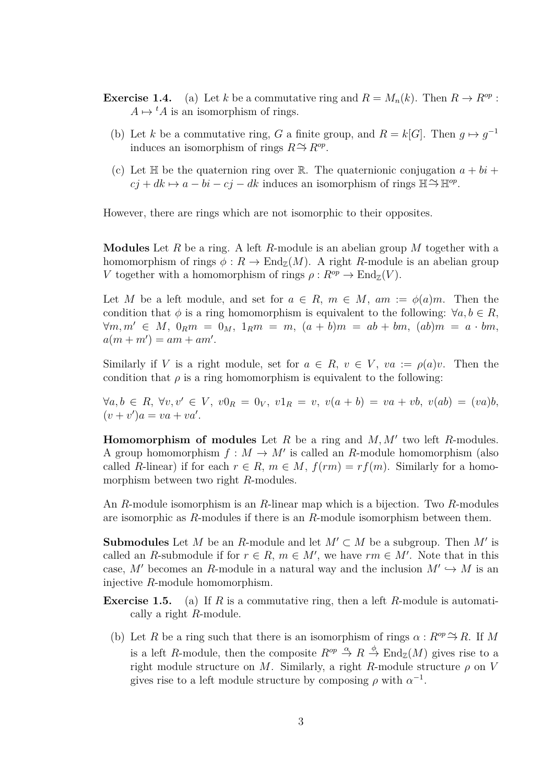- **Exercise 1.4.** (a) Let *k* be a commutative ring and  $R = M_n(k)$ . Then  $R \to R^{op}$ :  $A \mapsto {}^t A$  is an isomorphism of rings.
	- (b) Let *k* be a commutative ring, *G* a finite group, and  $R = k[G]$ . Then  $g \mapsto g^{-1}$ induces an isomorphism of rings  $R \to R^{op}$ .
	- (c) Let  $\mathbb H$  be the quaternion ring over  $\mathbb R$ . The quaternionic conjugation  $a + bi + j$  $c_j + dk \mapsto a - bi - cj - dk$  induces an isomorphism of rings  $\mathbb{H} \to \mathbb{H}^{op}$ .

However, there are rings which are not isomorphic to their opposites.

**Modules** Let *R* be a ring. A left *R*-module is an abelian group *M* together with a homomorphism of rings  $\phi: R \to \text{End}_{\mathbb{Z}}(M)$ . A right *R*-module is an abelian group *V* together with a homomorphism of rings  $\rho: R^{op} \to \text{End}_{\mathbb{Z}}(V)$ .

Let *M* be a left module, and set for  $a \in R$ ,  $m \in M$ ,  $am := \phi(a)m$ . Then the condition that  $\phi$  is a ring homomorphism is equivalent to the following:  $\forall a, b \in R$ ,  $\forall m, m' \in M$ ,  $0_R m = 0_M$ ,  $1_R m = m$ ,  $(a + b)m = ab + bm$ ,  $(ab)m = a \cdot bm$ ,  $a(m + m') = am + am'.$ 

Similarly if *V* is a right module, set for  $a \in R$ ,  $v \in V$ ,  $va := \rho(a)v$ . Then the condition that  $\rho$  is a ring homomorphism is equivalent to the following:

 $\forall a, b \in R, \forall v, v' \in V, v0_R = 0_V, v1_R = v, v(a+b) = va + vb, v(ab) = (va)b,$  $(v + v')a = va + va'.$ 

**Homomorphism of modules** Let  $R$  be a ring and  $M$ ,  $M'$  two left  $R$ -modules. A group homomorphism  $f : M \to M'$  is called an *R*-module homomorphism (also called *R*-linear) if for each  $r \in R$ ,  $m \in M$ ,  $f(rm) = rf(m)$ . Similarly for a homomorphism between two right *R*-modules.

An *R*-module isomorphism is an *R*-linear map which is a bijection. Two *R*-modules are isomorphic as *R*-modules if there is an *R*-module isomorphism between them.

**Submodules** Let *M* be an *R*-module and let  $M' \subset M$  be a subgroup. Then  $M'$  is called an *R*-submodule if for  $r \in R$ ,  $m \in M'$ , we have  $rm \in M'$ . Note that in this case,  $M'$  becomes an R-module in a natural way and the inclusion  $M' \hookrightarrow M$  is an injective *R*-module homomorphism.

- **Exercise 1.5.** (a) If *R* is a commutative ring, then a left *R*-module is automatically a right *R*-module.
	- (b) Let *R* be a ring such that there is an isomorphism of rings  $\alpha$  :  $R^{op} \to R$ . If *M* is a left *R*-module, then the composite  $R^{op} \stackrel{\alpha}{\to} R \stackrel{\phi}{\to} \text{End}_{\mathbb{Z}}(M)$  gives rise to a right module structure on *M*. Similarly, a right *R*-module structure  $\rho$  on *V* gives rise to a left module structure by composing  $\rho$  with  $\alpha^{-1}$ .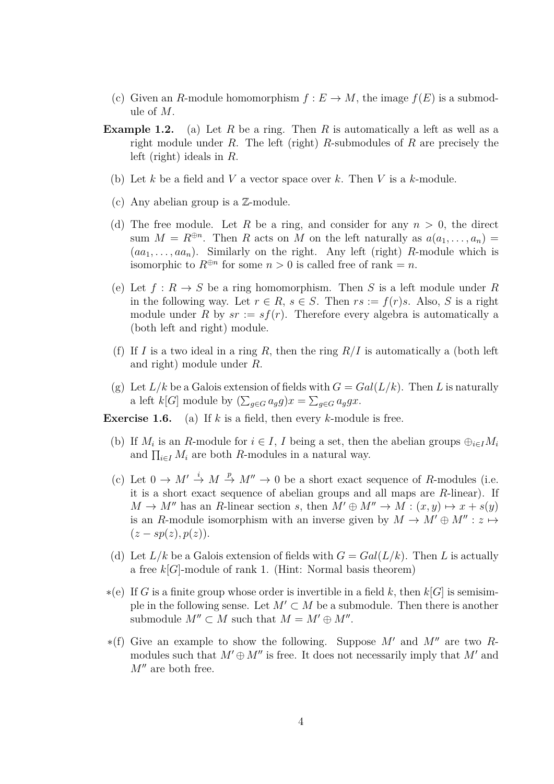- (c) Given an *R*-module homomorphism  $f: E \to M$ , the image  $f(E)$  is a submodule of *M*.
- **Example 1.2.** (a) Let *R* be a ring. Then *R* is automatically a left as well as a right module under *R*. The left (right) *R*-submodules of *R* are precisely the left (right) ideals in *R*.
	- (b) Let *k* be a field and *V* a vector space over *k*. Then *V* is a *k*-module.
	- (c) Any abelian group is a Z-module.
	- (d) The free module. Let *R* be a ring, and consider for any  $n > 0$ , the direct sum  $M = R^{\oplus n}$ . Then *R* acts on *M* on the left naturally as  $a(a_1, \ldots, a_n)$  $(aa_1, \ldots, a a_n)$ . Similarly on the right. Any left (right) *R*-module which is isomorphic to  $R^{\oplus n}$  for some  $n > 0$  is called free of rank = *n*.
	- (e) Let  $f: R \to S$  be a ring homomorphism. Then *S* is a left module under *R* in the following way. Let  $r \in R$ ,  $s \in S$ . Then  $rs := f(r)s$ . Also, *S* is a right module under R by  $sr := sf(r)$ . Therefore every algebra is automatically a (both left and right) module.
	- (f) If *I* is a two ideal in a ring *R*, then the ring  $R/I$  is automatically a (both left and right) module under *R*.
	- (g) Let  $L/k$  be a Galois extension of fields with  $G = Gal(L/k)$ . Then L is naturally a left  $k[G]$  module by  $(\sum_{g \in G} a_g g)x = \sum_{g \in G} a_g g x$ .

**Exercise 1.6.** (a) If *k* is a field, then every *k*-module is free.

- (b) If  $M_i$  is an *R*-module for  $i \in I$ , *I* being a set, then the abelian groups  $\bigoplus_{i \in I} M_i$ and  $\prod_{i \in I} M_i$  are both *R*-modules in a natural way.
- (c) Let  $0 \to M' \stackrel{i}{\to} M \stackrel{p}{\to} M'' \to 0$  be a short exact sequence of *R*-modules (i.e. it is a short exact sequence of abelian groups and all maps are *R*-linear). If  $M \to M''$  has an *R*-linear section *s*, then  $M' \oplus M'' \to M : (x, y) \mapsto x + s(y)$ is an *R*-module isomorphism with an inverse given by  $M \to M' \oplus M'' : z \mapsto$  $(z - sp(z), p(z)).$
- (d) Let  $L/k$  be a Galois extension of fields with  $G = Gal(L/k)$ . Then L is actually a free *k*[*G*]-module of rank 1. (Hint: Normal basis theorem)
- $*(e)$  If *G* is a finite group whose order is invertible in a field *k*, then *k*[*G*] is semisimple in the following sense. Let  $M' \subset M$  be a submodule. Then there is another submodule  $M'' \subset M$  such that  $M = M' \oplus M''$ .
- $*(f)$  Give an example to show the following. Suppose M' and M'' are two Rmodules such that  $M' \oplus M''$  is free. It does not necessarily imply that  $M'$  and  $M''$  are both free.